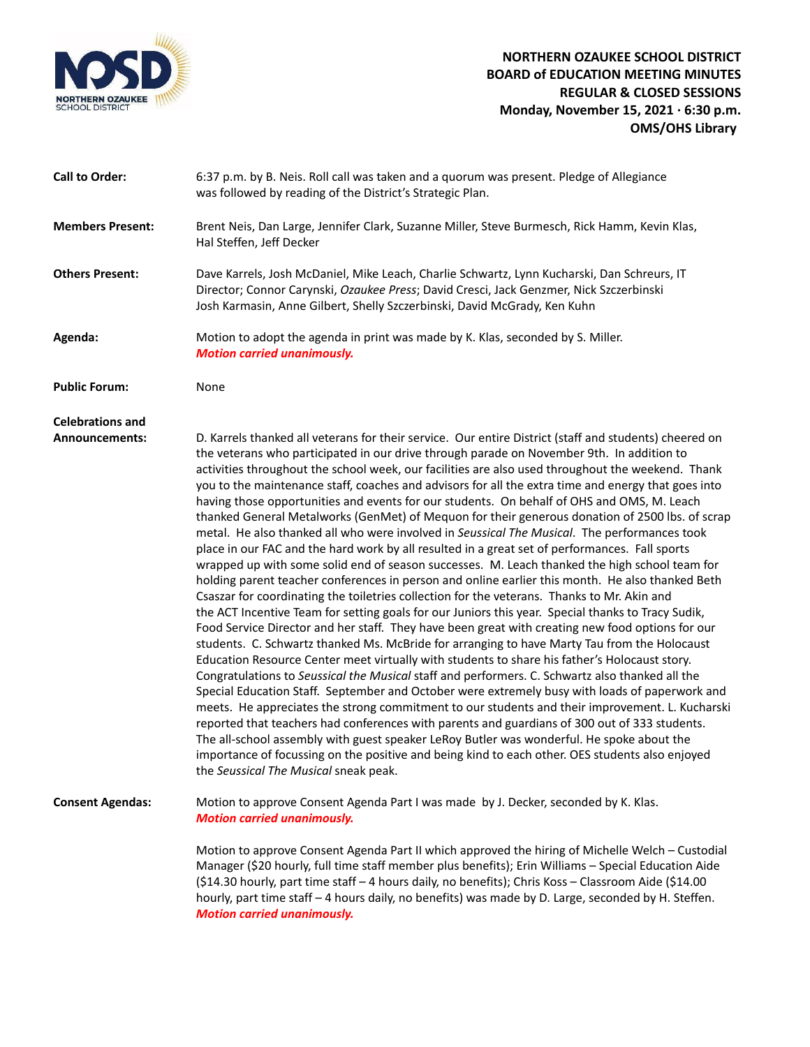

## **Call to Order:** 6:37 p.m. by B. Neis. Roll call was taken and a quorum was present. Pledge of Allegiance was followed by reading of the District's Strategic Plan. **Members Present:** Brent Neis, Dan Large, Jennifer Clark, Suzanne Miller, Steve Burmesch, Rick Hamm, Kevin Klas, Hal Steffen, Jeff Decker **Others Present:** Dave Karrels, Josh McDaniel, Mike Leach, Charlie Schwartz, Lynn Kucharski, Dan Schreurs, IT Director; Connor Carynski, *Ozaukee Press*; David Cresci, Jack Genzmer, Nick Szczerbinski Josh Karmasin, Anne Gilbert, Shelly Szczerbinski, David McGrady, Ken Kuhn **Agenda:** Motion to adopt the agenda in print was made by K. Klas, seconded by S. Miller. *Motion carried unanimously.* **Public Forum:** None **Celebrations and Announcements:** D. Karrels thanked all veterans for their service. Our entire District (staff and students) cheered on the veterans who participated in our drive through parade on November 9th. In addition to activities throughout the school week, our facilities are also used throughout the weekend. Thank you to the maintenance staff, coaches and advisors for all the extra time and energy that goes into having those opportunities and events for our students. On behalf of OHS and OMS, M. Leach thanked General Metalworks (GenMet) of Mequon for their generous donation of 2500 lbs. of scrap metal. He also thanked all who were involved in *Seussical The Musical*. The performances took place in our FAC and the hard work by all resulted in a great set of performances. Fall sports wrapped up with some solid end of season successes. M. Leach thanked the high school team for holding parent teacher conferences in person and online earlier this month. He also thanked Beth Csaszar for coordinating the toiletries collection for the veterans. Thanks to Mr. Akin and the ACT Incentive Team for setting goals for our Juniors this year. Special thanks to Tracy Sudik, Food Service Director and her staff. They have been great with creating new food options for our students. C. Schwartz thanked Ms. McBride for arranging to have Marty Tau from the Holocaust Education Resource Center meet virtually with students to share his father's Holocaust story. Congratulations to *Seussical the Musical* staff and performers. C. Schwartz also thanked all the Special Education Staff. September and October were extremely busy with loads of paperwork and meets. He appreciates the strong commitment to our students and their improvement. L. Kucharski reported that teachers had conferences with parents and guardians of 300 out of 333 students. The all-school assembly with guest speaker LeRoy Butler was wonderful. He spoke about the importance of focussing on the positive and being kind to each other. OES students also enjoyed the *Seussical The Musical* sneak peak. **Consent Agendas:** Motion to approve Consent Agenda Part I was made by J. Decker, seconded by K. Klas. *Motion carried unanimously.* Motion to approve Consent Agenda Part II which approved the hiring of Michelle Welch – Custodial Manager (\$20 hourly, full time staff member plus benefits); Erin Williams – Special Education Aide (\$14.30 hourly, part time staff – 4 hours daily, no benefits); Chris Koss – Classroom Aide (\$14.00 hourly, part time staff – 4 hours daily, no benefits) was made by D. Large, seconded by H. Steffen. *Motion carried unanimously.*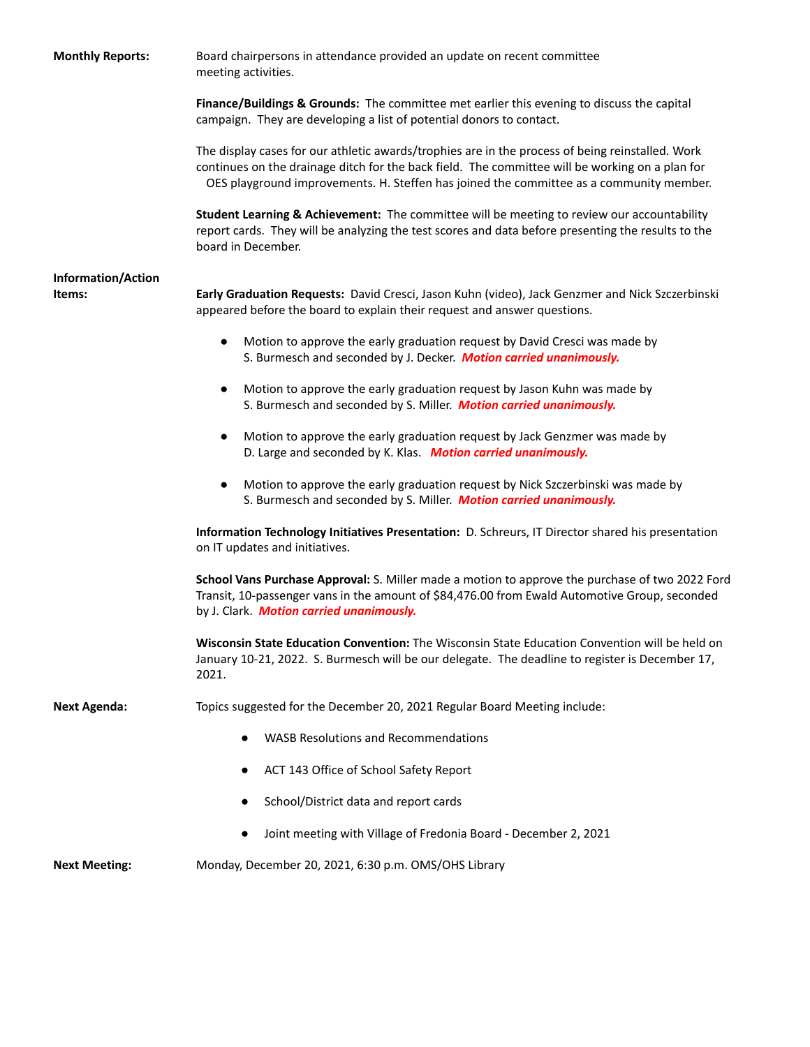| <b>Monthly Reports:</b>             | Board chairpersons in attendance provided an update on recent committee<br>meeting activities.                                                                                                                                                                                                 |
|-------------------------------------|------------------------------------------------------------------------------------------------------------------------------------------------------------------------------------------------------------------------------------------------------------------------------------------------|
|                                     | Finance/Buildings & Grounds: The committee met earlier this evening to discuss the capital<br>campaign. They are developing a list of potential donors to contact.                                                                                                                             |
|                                     | The display cases for our athletic awards/trophies are in the process of being reinstalled. Work<br>continues on the drainage ditch for the back field. The committee will be working on a plan for<br>OES playground improvements. H. Steffen has joined the committee as a community member. |
|                                     | Student Learning & Achievement: The committee will be meeting to review our accountability<br>report cards. They will be analyzing the test scores and data before presenting the results to the<br>board in December.                                                                         |
| <b>Information/Action</b><br>ltems: | Early Graduation Requests: David Cresci, Jason Kuhn (video), Jack Genzmer and Nick Szczerbinski<br>appeared before the board to explain their request and answer questions.                                                                                                                    |
|                                     | Motion to approve the early graduation request by David Cresci was made by<br>$\bullet$<br>S. Burmesch and seconded by J. Decker. Motion carried unanimously.                                                                                                                                  |
|                                     | Motion to approve the early graduation request by Jason Kuhn was made by<br>$\bullet$<br>S. Burmesch and seconded by S. Miller. Motion carried unanimously.                                                                                                                                    |
|                                     | Motion to approve the early graduation request by Jack Genzmer was made by<br>$\bullet$<br>D. Large and seconded by K. Klas. Motion carried unanimously.                                                                                                                                       |
|                                     | Motion to approve the early graduation request by Nick Szczerbinski was made by<br>$\bullet$<br>S. Burmesch and seconded by S. Miller. Motion carried unanimously.                                                                                                                             |
|                                     | Information Technology Initiatives Presentation: D. Schreurs, IT Director shared his presentation<br>on IT updates and initiatives.                                                                                                                                                            |
|                                     | School Vans Purchase Approval: S. Miller made a motion to approve the purchase of two 2022 Ford<br>Transit, 10-passenger vans in the amount of \$84,476.00 from Ewald Automotive Group, seconded<br>by J. Clark. Motion carried unanimously.                                                   |
|                                     | Wisconsin State Education Convention: The Wisconsin State Education Convention will be held on<br>January 10-21, 2022. S. Burmesch will be our delegate. The deadline to register is December 17,<br>2021.                                                                                     |
| Next Agenda:                        | Topics suggested for the December 20, 2021 Regular Board Meeting include:                                                                                                                                                                                                                      |
|                                     | <b>WASB Resolutions and Recommendations</b>                                                                                                                                                                                                                                                    |
|                                     | ACT 143 Office of School Safety Report                                                                                                                                                                                                                                                         |
|                                     | School/District data and report cards                                                                                                                                                                                                                                                          |
|                                     | Joint meeting with Village of Fredonia Board - December 2, 2021                                                                                                                                                                                                                                |
| <b>Next Meeting:</b>                | Monday, December 20, 2021, 6:30 p.m. OMS/OHS Library                                                                                                                                                                                                                                           |
|                                     |                                                                                                                                                                                                                                                                                                |